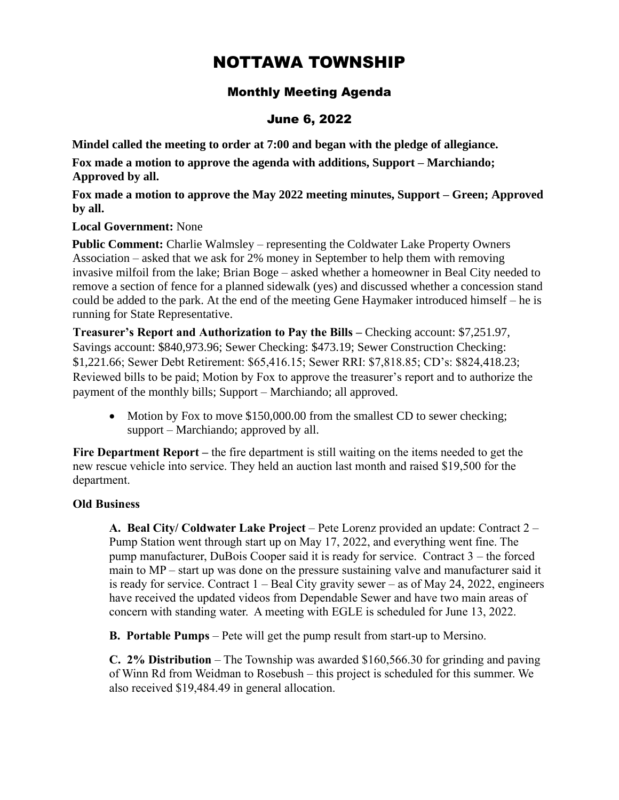# NOTTAWA TOWNSHIP

# Monthly Meeting Agenda

## June 6, 2022

**Mindel called the meeting to order at 7:00 and began with the pledge of allegiance.** 

**Fox made a motion to approve the agenda with additions, Support – Marchiando; Approved by all.**

**Fox made a motion to approve the May 2022 meeting minutes, Support – Green; Approved by all.**

**Local Government:** None

**Public Comment:** Charlie Walmsley – representing the Coldwater Lake Property Owners Association – asked that we ask for 2% money in September to help them with removing invasive milfoil from the lake; Brian Boge – asked whether a homeowner in Beal City needed to remove a section of fence for a planned sidewalk (yes) and discussed whether a concession stand could be added to the park. At the end of the meeting Gene Haymaker introduced himself – he is running for State Representative.

**Treasurer's Report and Authorization to Pay the Bills –** Checking account: \$7,251.97, Savings account: \$840,973.96; Sewer Checking: \$473.19; Sewer Construction Checking: \$1,221.66; Sewer Debt Retirement: \$65,416.15; Sewer RRI: \$7,818.85; CD's: \$824,418.23; Reviewed bills to be paid; Motion by Fox to approve the treasurer's report and to authorize the payment of the monthly bills; Support – Marchiando; all approved.

• Motion by Fox to move \$150,000.00 from the smallest CD to sewer checking; support – Marchiando; approved by all.

**Fire Department Report –** the fire department is still waiting on the items needed to get the new rescue vehicle into service. They held an auction last month and raised \$19,500 for the department.

### **Old Business**

**A. Beal City/ Coldwater Lake Project** – Pete Lorenz provided an update: Contract 2 – Pump Station went through start up on May 17, 2022, and everything went fine. The pump manufacturer, DuBois Cooper said it is ready for service. Contract 3 – the forced main to MP – start up was done on the pressure sustaining valve and manufacturer said it is ready for service. Contract 1 – Beal City gravity sewer – as of May 24, 2022, engineers have received the updated videos from Dependable Sewer and have two main areas of concern with standing water. A meeting with EGLE is scheduled for June 13, 2022.

**B. Portable Pumps** – Pete will get the pump result from start-up to Mersino.

**C. 2% Distribution** – The Township was awarded \$160,566.30 for grinding and paving of Winn Rd from Weidman to Rosebush – this project is scheduled for this summer. We also received \$19,484.49 in general allocation.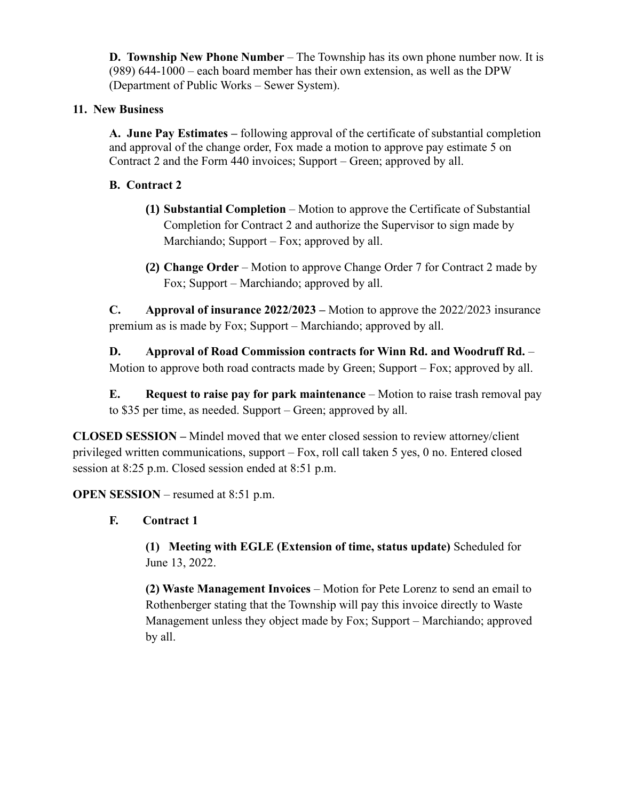**D. Township New Phone Number** – The Township has its own phone number now. It is (989) 644-1000 – each board member has their own extension, as well as the DPW (Department of Public Works – Sewer System).

## **11. New Business**

**A. June Pay Estimates –** following approval of the certificate of substantial completion and approval of the change order, Fox made a motion to approve pay estimate 5 on Contract 2 and the Form 440 invoices; Support – Green; approved by all.

## **B. Contract 2**

- **(1) Substantial Completion** Motion to approve the Certificate of Substantial Completion for Contract 2 and authorize the Supervisor to sign made by Marchiando; Support – Fox; approved by all.
- **(2) Change Order** Motion to approve Change Order 7 for Contract 2 made by Fox; Support – Marchiando; approved by all.

**C. Approval of insurance 2022/2023 –** Motion to approve the 2022/2023 insurance premium as is made by Fox; Support – Marchiando; approved by all.

**D. Approval of Road Commission contracts for Winn Rd. and Woodruff Rd.** – Motion to approve both road contracts made by Green; Support – Fox; approved by all.

**E. Request to raise pay for park maintenance** – Motion to raise trash removal pay to \$35 per time, as needed. Support – Green; approved by all.

**CLOSED SESSION –** Mindel moved that we enter closed session to review attorney/client privileged written communications, support – Fox, roll call taken 5 yes, 0 no. Entered closed session at 8:25 p.m. Closed session ended at 8:51 p.m.

**OPEN SESSION** – resumed at 8:51 p.m.

## **F. Contract 1**

**(1) Meeting with EGLE (Extension of time, status update)** Scheduled for June 13, 2022.

**(2) Waste Management Invoices** – Motion for Pete Lorenz to send an email to Rothenberger stating that the Township will pay this invoice directly to Waste Management unless they object made by Fox; Support – Marchiando; approved by all.